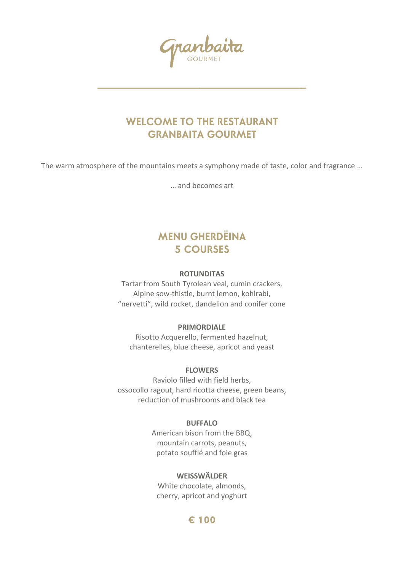## **WELCOME TO THE RESTAURANT GRANBAITA GOURMET**

The warm atmosphere of the mountains meets a symphony made of taste, color and fragrance …

… and becomes art

# **MENU GHERDËINA 5 COURSES**

### **ROTUNDITAS**

Tartar from South Tyrolean veal, cumin crackers, Alpine sow-thistle, burnt lemon, kohlrabi, "nervetti", wild rocket, dandelion and conifer cone

### **PRIMORDIALE**

Risotto Acquerello, fermented hazelnut, chanterelles, blue cheese, apricot and yeast

### **FLOWERS**

Raviolo filled with field herbs, ossocollo ragout, hard ricotta cheese, green beans, reduction of mushrooms and black tea

### **BUFFALO**

American bison from the BBQ, mountain carrots, peanuts, potato soufflé and foie gras

### **WEISSWÄLDER**

White chocolate, almonds, cherry, apricot and yoghurt

### € 100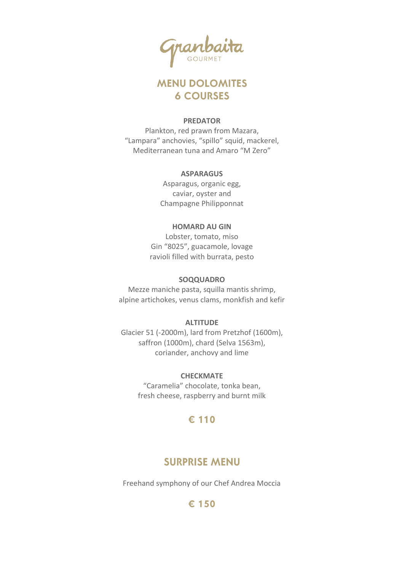## **MENU DOLOMITES 6 COURSES**

### **PREDATOR**

Plankton, red prawn from Mazara, "Lampara" anchovies, "spillo" squid, mackerel, Mediterranean tuna and Amaro "M Zero"

### **ASPARAGUS**

Asparagus, organic egg, caviar, oyster and Champagne Philipponnat

### **HOMARD AU GIN**

Lobster, tomato, miso Gin "8025", guacamole, lovage ravioli filled with burrata, pesto

### **SOQQUADRO**

Mezze maniche pasta, squilla mantis shrimp, alpine artichokes, venus clams, monkfish and kefir

### **ALTITUDE**

Glacier 51 (-2000m), lard from Pretzhof (1600m), saffron (1000m), chard (Selva 1563m), coriander, anchovy and lime

**CHECKMATE**

"Caramelia" chocolate, tonka bean, fresh cheese, raspberry and burnt milk

## € 110

## **SURPRISE MENU**

Freehand symphony of our Chef Andrea Moccia

### € 150